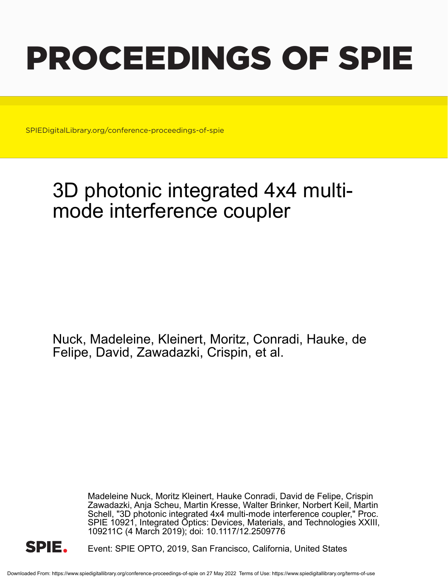# PROCEEDINGS OF SPIE

SPIEDigitalLibrary.org/conference-proceedings-of-spie

## 3D photonic integrated 4x4 multimode interference coupler

Nuck, Madeleine, Kleinert, Moritz, Conradi, Hauke, de Felipe, David, Zawadazki, Crispin, et al.

> Madeleine Nuck, Moritz Kleinert, Hauke Conradi, David de Felipe, Crispin Zawadazki, Anja Scheu, Martin Kresse, Walter Brinker, Norbert Keil, Martin Schell, "3D photonic integrated 4x4 multi-mode interference coupler," Proc. SPIE 10921, Integrated Optics: Devices, Materials, and Technologies XXIII, 109211C (4 March 2019); doi: 10.1117/12.2509776



Event: SPIE OPTO, 2019, San Francisco, California, United States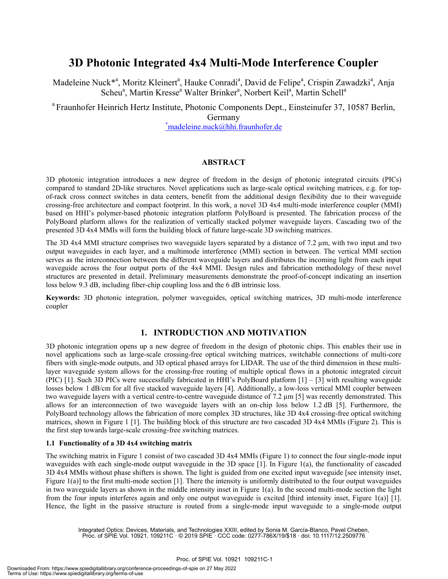### **3D Photonic Integrated 4x4 Multi-Mode Interference Coupler**

Madeleine Nuck<sup>\*a</sup>, Moritz Kleinert<sup>a</sup>, Hauke Conradi<sup>a</sup>, David de Felipe<sup>a</sup>, Crispin Zawadzki<sup>a</sup>, Anja Scheu<sup>a</sup>, Martin Kresse<sup>a</sup> Walter Brinker<sup>a</sup>, Norbert Keil<sup>a</sup>, Martin Schell<sup>a</sup>

<sup>a</sup> Fraunhofer Heinrich Hertz Institute, Photonic Components Dept., Einsteinufer 37, 10587 Berlin, Germany<br>
<u>\*madeleine.nuck@hhi.fraunhofer.de</u>

#### **ABSTRACT**

3D photonic integration introduces a new degree of freedom in the design of photonic integrated circuits (PICs) compared to standard 2D-like structures. Novel applications such as large-scale optical switching matrices, e.g. for topof-rack cross connect switches in data centers, benefit from the additional design flexibility due to their waveguide crossing-free architecture and compact footprint. In this work, a novel 3D 4x4 multi-mode interference coupler (MMI) based on HHI's polymer-based photonic integration platform PolyBoard is presented. The fabrication process of the PolyBoard platform allows for the realization of vertically stacked polymer waveguide layers. Cascading two of the presented 3D 4x4 MMIs will form the building block of future large-scale 3D switching matrices.

The 3D 4x4 MMI structure comprises two waveguide layers separated by a distance of 7.2 µm, with two input and two output waveguides in each layer, and a multimode interference (MMI) section in between. The vertical MMI section serves as the interconnection between the different waveguide layers and distributes the incoming light from each input waveguide across the four output ports of the 4x4 MMI. Design rules and fabrication methodology of these novel structures are presented in detail. Preliminary measurements demonstrate the proof-of-concept indicating an insertion loss below 9.3 dB, including fiber-chip coupling loss and the 6 dB intrinsic loss.

**Keywords:** 3D photonic integration, polymer waveguides, optical switching matrices, 3D multi-mode interference coupler

#### **1. INTRODUCTION AND MOTIVATION**

3D photonic integration opens up a new degree of freedom in the design of photonic chips. This enables their use in novel applications such as large-scale crossing-free optical switching matrices, switchable connections of multi-core fibers with single-mode outputs, and 3D optical phased arrays for LIDAR. The use of the third dimension in these multilayer waveguide system allows for the crossing-free routing of multiple optical flows in a photonic integrated circuit (PIC) [1]. Such 3D PICs were successfully fabricated in HHI's PolyBoard platform [1] – [3] with resulting waveguide losses below 1 dB/cm for all five stacked waveguide layers [4]. Additionally, a low-loss vertical MMI coupler between two waveguide layers with a vertical centre-to-centre waveguide distance of 7.2 µm [5] was recently demonstrated. This allows for an interconnection of two waveguide layers with an on-chip loss below 1.2 dB [5]. Furthermore, the PolyBoard technology allows the fabrication of more complex 3D structures, like 3D 4x4 crossing-free optical switching matrices, shown in Figure 1 [1]. The building block of this structure are two cascaded 3D 4x4 MMIs (Figure 2). This is the first step towards large-scale crossing-free switching matrices.

#### **1.1 Functionality of a 3D 4x4 switching matrix**

The switching matrix in Figure 1 consist of two cascaded 3D 4x4 MMIs (Figure 1) to connect the four single-mode input waveguides with each single-mode output waveguide in the 3D space [1]. In Figure 1(a), the functionality of cascaded 3D 4x4 MMIs without phase shifters is shown. The light is guided from one excited input waveguide [see intensity inset, Figure  $1(a)$ ] to the first multi-mode section [1]. There the intensity is uniformly distributed to the four output waveguides in two waveguide layers as shown in the middle intensity inset in Figure 1(a). In the second multi-mode section the light from the four inputs interferes again and only one output waveguide is excited [third intensity inset, Figure 1(a)] [1]. Hence, the light in the passive structure is routed from a single-mode input waveguide to a single-mode output

Integrated Optics: Devices, Materials, and Technologies XXIII, edited by Sonia M. García-Blanco, Pavel Cheben, Proc. of SPIE Vol. 10921, 109211C · © 2019 SPIE · CCC code: 0277-786X/19/\$18 · doi: 10.1117/12.2509776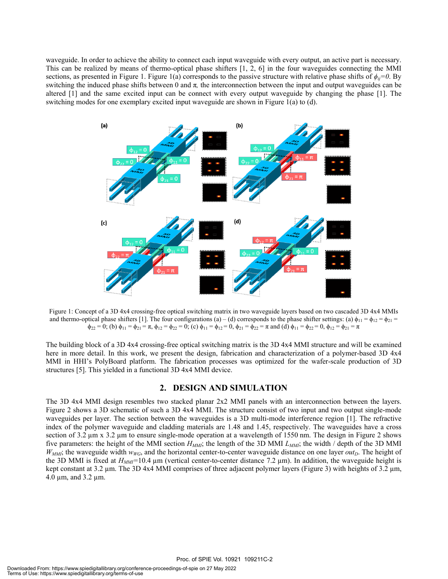waveguide. In order to achieve the ability to connect each input waveguide with every output, an active part is necessary. This can be realized by means of thermo-optical phase shifters [1, 2, 6] in the four waveguides connecting the MMI sections, as presented in Figure 1. Figure 1(a) corresponds to the passive structure with relative phase shifts of  $\phi_{ii}=0$ . By switching the induced phase shifts between 0 and  $\pi$ , the interconnection between the input and output waveguides can be altered [1] and the same excited input can be connect with every output waveguide by changing the phase [1]. The switching modes for one exemplary excited input waveguide are shown in Figure 1(a) to (d).



Figure 1: Concept of a 3D 4x4 crossing-free optical switching matrix in two waveguide layers based on two cascaded 3D 4x4 MMIs and thermo-optical phase shifters [1]. The four configurations (a) – (d) corresponds to the phase shifter settings: (a)  $\phi_{11} = \phi_{12} = \phi_{21}$  $\phi_{22} = 0$ ; (b)  $\phi_{11} = \phi_{21} = \pi$ ,  $\phi_{12} = \phi_{22} = 0$ ; (c)  $\phi_{11} = \phi_{12} = 0$ ,  $\phi_{21} = \pi$  and (d)  $\phi_{11} = \phi_{22} = 0$ ,  $\phi_{12} = \phi_{21} = \pi$ 

The building block of a 3D 4x4 crossing-free optical switching matrix is the 3D 4x4 MMI structure and will be examined here in more detail. In this work, we present the design, fabrication and characterization of a polymer-based 3D 4x4 MMI in HHI's PolyBoard platform. The fabrication processes was optimized for the wafer-scale production of 3D structures [5]. This yielded in a functional 3D 4x4 MMI device.

#### **2. DESIGN AND SIMULATION**

The 3D 4x4 MMI design resembles two stacked planar 2x2 MMI panels with an interconnection between the layers. Figure 2 shows a 3D schematic of such a 3D 4x4 MMI. The structure consist of two input and two output single-mode waveguides per layer. The section between the waveguides is a 3D multi-mode interference region [1]. The refractive index of the polymer waveguide and cladding materials are 1.48 and 1.45, respectively. The waveguides have a cross section of 3.2  $\mu$ m x 3.2  $\mu$ m to ensure single-mode operation at a wavelength of 1550 nm. The design in Figure 2 shows five parameters: the height of the MMI section  $H_{MM}$ ; the length of the 3D MMI  $L_{MM}$ ; the width / depth of the 3D MMI  $W_{MMI}$ ; the waveguide width  $w_{WG}$ , and the horizontal center-to-center waveguide distance on one layer *out*<sub>D</sub>. The height of the 3D MMI is fixed at *HMMI=*10.4 µm (vertical center-to-center distance 7.2 µm). In addition, the waveguide height is kept constant at 3.2 µm. The 3D 4x4 MMI comprises of three adjacent polymer layers (Figure 3) with heights of 3.2 µm, 4.0 µm, and 3.2 µm.

Proc. of SPIE Vol. 10921 109211C-2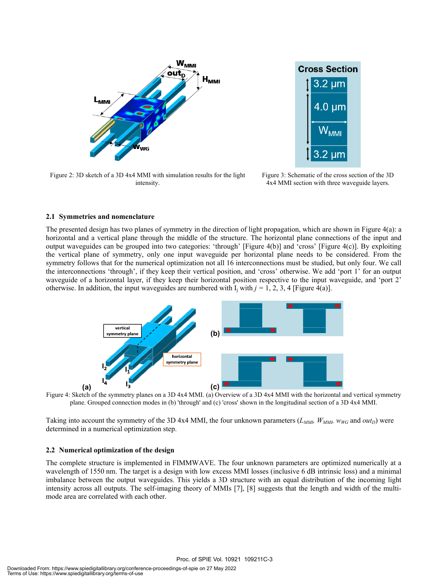

**Cross Section** 3.2 µm 4.0 um 2 um

Figure 2: 3D sketch of a 3D 4x4 MMI with simulation results for the light intensity.

Figure 3: Schematic of the cross section of the 3D 4x4 MMI section with three waveguide layers.

#### **2.1 Symmetries and nomenclature**

The presented design has two planes of symmetry in the direction of light propagation, which are shown in Figure 4(a): a horizontal and a vertical plane through the middle of the structure. The horizontal plane connections of the input and output waveguides can be grouped into two categories: 'through' [Figure 4(b)] and 'cross' [Figure 4(c)]. By exploiting the vertical plane of symmetry, only one input waveguide per horizontal plane needs to be considered. From the symmetry follows that for the numerical optimization not all 16 interconnections must be studied, but only four. We call the interconnections 'through', if they keep their vertical position, and 'cross' otherwise. We add 'port 1' for an output waveguide of a horizontal layer, if they keep their horizontal position respective to the input waveguide, and 'port 2' otherwise. In addition, the input waveguides are numbered with  $I_i$  with  $j = 1, 2, 3, 4$  [Figure 4(a)].



Figure 4: Sketch of the symmetry planes on a 3D 4x4 MMI. (a) Overview of a 3D 4x4 MMI with the horizontal and vertical symmetry plane. Grouped connection modes in (b) 'through' and (c) 'cross' shown in the longitudinal section of a 3D 4x4 MMI.

Taking into account the symmetry of the 3D 4x4 MMI, the four unknown parameters  $(L_{MMI}, W_{MMI}, w_{WG},$  and  $out_D)$  were determined in a numerical optimization step.

#### **2.2 Numerical optimization of the design**

The complete structure is implemented in FIMMWAVE. The four unknown parameters are optimized numerically at a wavelength of 1550 nm. The target is a design with low excess MMI losses (inclusive 6 dB intrinsic loss) and a minimal imbalance between the output waveguides. This yields a 3D structure with an equal distribution of the incoming light intensity across all outputs. The self-imaging theory of MMIs [7], [8] suggests that the length and width of the multimode area are correlated with each other.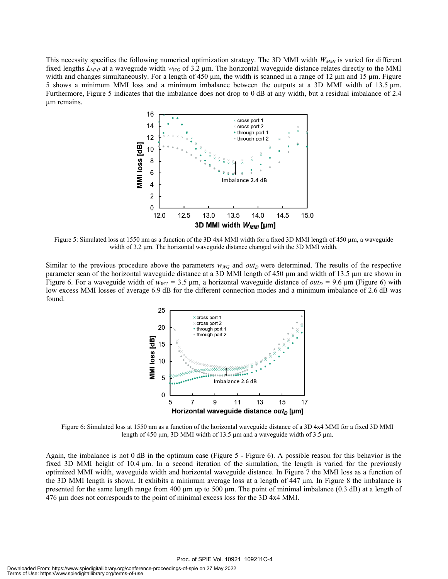This necessity specifies the following numerical optimization strategy. The 3D MMI width  $W_{MMI}$  is varied for different fixed lengths  $L_{MM}$  at a waveguide width  $w_{WG}$  of 3.2 µm. The horizontal waveguide distance relates directly to the MMI width and changes simultaneously. For a length of 450  $\mu$ m, the width is scanned in a range of 12  $\mu$ m and 15  $\mu$ m. Figure 5 shows a minimum MMI loss and a minimum imbalance between the outputs at a 3D MMI width of 13.5 µm. Furthermore, Figure 5 indicates that the imbalance does not drop to 0 dB at any width, but a residual imbalance of 2.4 µm remains.



Figure 5: Simulated loss at 1550 nm as a function of the 3D 4x4 MMI width for a fixed 3D MMI length of 450 µm, a waveguide width of 3.2  $\mu$ m. The horizontal waveguide distance changed with the 3D MMI width.

Similar to the previous procedure above the parameters  $w_{WG}$  and  $out_D$  were determined. The results of the respective parameter scan of the horizontal waveguide distance at a 3D MMI length of 450 µm and width of 13.5 µm are shown in Figure 6. For a waveguide width of  $w_{WG} = 3.5 \,\mu\text{m}$ , a horizontal waveguide distance of *out*<sub>D</sub> = 9.6  $\mu\text{m}$  (Figure 6) with low excess MMI losses of average 6.9 dB for the different connection modes and a minimum imbalance of 2.6 dB was found.



Figure 6: Simulated loss at 1550 nm as a function of the horizontal waveguide distance of a 3D 4x4 MMI for a fixed 3D MMI length of 450 µm, 3D MMI width of 13.5 µm and a waveguide width of 3.5 µm.

Again, the imbalance is not 0 dB in the optimum case (Figure 5 - Figure 6). A possible reason for this behavior is the fixed 3D MMI height of 10.4 µm. In a second iteration of the simulation, the length is varied for the previously optimized MMI width, waveguide width and horizontal waveguide distance. In Figure 7 the MMI loss as a function of the 3D MMI length is shown. It exhibits a minimum average loss at a length of 447 µm. In Figure 8 the imbalance is presented for the same length range from 400 µm up to 500 µm. The point of minimal imbalance (0.3 dB) at a length of 476 µm does not corresponds to the point of minimal excess loss for the 3D 4x4 MMI.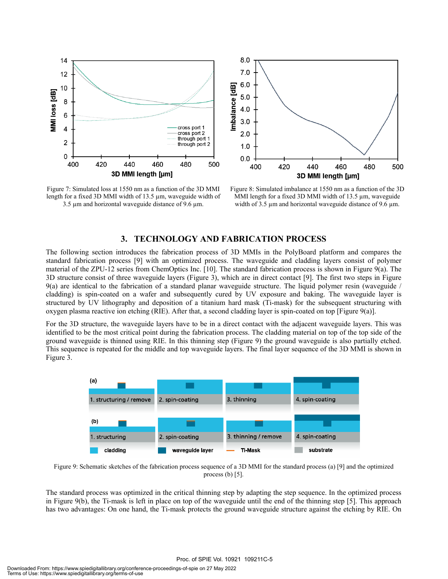



Figure 7: Simulated loss at 1550 nm as a function of the 3D MMI length for a fixed 3D MMI width of 13.5 µm, waveguide width of 3.5  $\mu$ m and horizontal waveguide distance of 9.6  $\mu$ m.

Figure 8: Simulated imbalance at 1550 nm as a function of the 3D MMI length for a fixed 3D MMI width of 13.5  $\mu$ m, waveguide width of 3.5  $\mu$ m and horizontal waveguide distance of 9.6  $\mu$ m.

#### **3. TECHNOLOGY AND FABRICATION PROCESS**

The following section introduces the fabrication process of 3D MMIs in the PolyBoard platform and compares the standard fabrication process [9] with an optimized process. The waveguide and cladding layers consist of polymer material of the ZPU-12 series from ChemOptics Inc. [10]. The standard fabrication process is shown in Figure 9(a). The 3D structure consist of three waveguide layers (Figure 3), which are in direct contact [9]. The first two steps in Figure 9(a) are identical to the fabrication of a standard planar waveguide structure. The liquid polymer resin (waveguide / cladding) is spin-coated on a wafer and subsequently cured by UV exposure and baking. The waveguide layer is structured by UV lithography and deposition of a titanium hard mask (Ti-mask) for the subsequent structuring with oxygen plasma reactive ion etching (RIE). After that, a second cladding layer is spin-coated on top [Figure 9(a)].

For the 3D structure, the waveguide layers have to be in a direct contact with the adjacent waveguide layers. This was identified to be the most critical point during the fabrication process. The cladding material on top of the top side of the ground waveguide is thinned using RIE. In this thinning step (Figure 9) the ground waveguide is also partially etched. This sequence is repeated for the middle and top waveguide layers. The final layer sequence of the 3D MMI is shown in Figure 3.



Figure 9: Schematic sketches of the fabrication process sequence of a 3D MMI for the standard process (a) [9] and the optimized process  $(b)$  [5].

The standard process was optimized in the critical thinning step by adapting the step sequence. In the optimized process in Figure 9(b), the Ti-mask is left in place on top of the waveguide until the end of the thinning step [5]. This approach has two advantages: On one hand, the Ti-mask protects the ground waveguide structure against the etching by RIE. On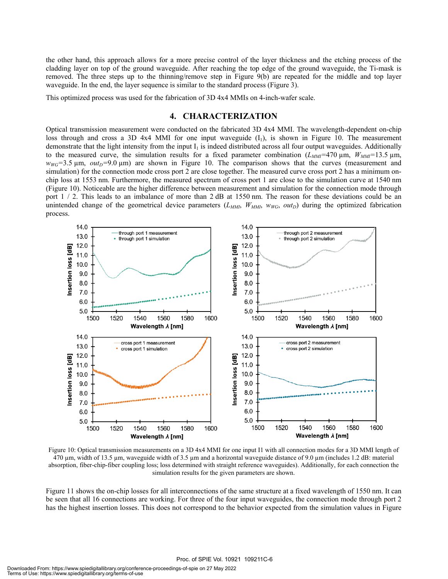the other hand, this approach allows for a more precise control of the layer thickness and the etching process of the cladding layer on top of the ground waveguide. After reaching the top edge of the ground waveguide, the Ti-mask is removed. The three steps up to the thinning/remove step in Figure 9(b) are repeated for the middle and top layer waveguide. In the end, the layer sequence is similar to the standard process (Figure 3).

This optimized process was used for the fabrication of 3D 4x4 MMIs on 4-inch-wafer scale.

#### **4. CHARACTERIZATION**

Optical transmission measurement were conducted on the fabricated 3D 4x4 MMI. The wavelength-dependent on-chip loss through and cross a 3D 4x4 MMI for one input waveguide  $(I_1)$ , is shown in Figure 10. The measurement demonstrate that the light intensity from the input  $I_1$  is indeed distributed across all four output waveguides. Additionally to the measured curve, the simulation results for a fixed parameter combination  $(L_{MMI}=470 \,\mu m, W_{MMI}=13.5 \,\mu m,$  $w_{WG}$ =3.5  $\mu$ m, *out*<sub>D</sub>=9.0  $\mu$ m) are shown in Figure 10. The comparison shows that the curves (measurement and simulation) for the connection mode cross port 2 are close together. The measured curve cross port 2 has a minimum onchip loss at 1553 nm. Furthermore, the measured spectrum of cross port 1 are close to the simulation curve at 1540 nm (Figure 10). Noticeable are the higher difference between measurement and simulation for the connection mode through port  $1 / 2$ . This leads to an imbalance of more than 2 dB at 1550 nm. The reason for these deviations could be an unintended change of the geometrical device parameters  $(L_{MMI}, W_{MMI}, W_{WG}, out_D)$  during the optimized fabrication process.



Figure 10: Optical transmission measurements on a 3D 4x4 MMI for one input I1 with all connection modes for a 3D MMI length of 470  $\mu$ m, width of 13.5  $\mu$ m, waveguide width of 3.5  $\mu$ m and a horizontal waveguide distance of 9.0  $\mu$ m (includes 1.2 dB: material absorption, fiber-chip-fiber coupling loss; loss determined with straight reference waveguides). Additionally, for each connection the simulation results for the given parameters are shown.

Figure 11 shows the on-chip losses for all interconnections of the same structure at a fixed wavelength of 1550 nm. It can be seen that all 16 connections are working. For three of the four input waveguides, the connection mode through port 2 has the highest insertion losses. This does not correspond to the behavior expected from the simulation values in Figure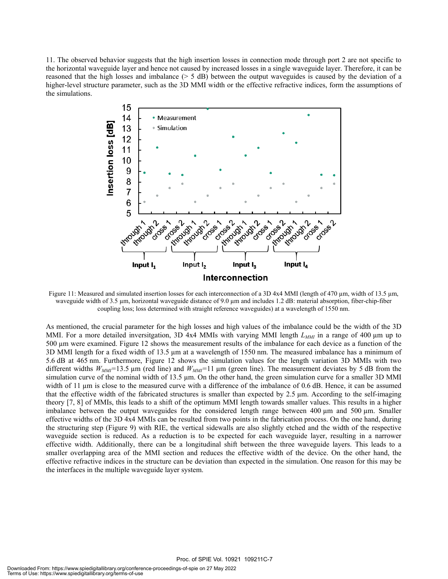11. The observed behavior suggests that the high insertion losses in connection mode through port 2 are not specific to the horizontal waveguide layer and hence not caused by increased losses in a single waveguide layer. Therefore, it can be reasoned that the high losses and imbalance (> 5 dB) between the output waveguides is caused by the deviation of a higher-level structure parameter, such as the 3D MMI width or the effective refractive indices, form the assumptions of the simulations.



Figure 11: Measured and simulated insertion losses for each interconnection of a 3D 4x4 MMI (length of 470 µm, width of 13.5 µm, waveguide width of 3.5 µm, horizontal waveguide distance of 9.0 µm and includes 1.2 dB: material absorption, fiber-chip-fiber coupling loss; loss determined with straight reference waveguides) at a wavelength of 1550 nm.

As mentioned, the crucial parameter for the high losses and high values of the imbalance could be the width of the 3D MMI. For a more detailed inversitgation, 3D 4x4 MMIs with varying MMI length  $L_{MMI}$  in a range of 400 µm up to 500 µm were examined. Figure 12 shows the measurement results of the imbalance for each device as a function of the 3D MMI length for a fixed width of 13.5 µm at a wavelength of 1550 nm. The measured imbalance has a minimum of 5.6 dB at 465 nm. Furthermore, Figure 12 shows the simulation values for the length variation 3D MMIs with two different widths  $W_{MMI}$ =13.5 µm (red line) and  $W_{MMI}$ =11 µm (green line). The measurement deviates by 5 dB from the simulation curve of the nominal width of 13.5 µm. On the other hand, the green simulation curve for a smaller 3D MMI width of 11  $\mu$ m is close to the measured curve with a difference of the imbalance of 0.6 dB. Hence, it can be assumed that the effective width of the fabricated structures is smaller than expected by  $2.5 \mu m$ . According to the self-imaging theory [7, 8] of MMIs, this leads to a shift of the optimum MMI length towards smaller values. This results in a higher imbalance between the output waveguides for the considered length range between 400 µm and 500 µm. Smaller effective widths of the 3D 4x4 MMIs can be resulted from two points in the fabrication process. On the one hand, during the structuring step (Figure 9) with RIE, the vertical sidewalls are also slightly etched and the width of the respective waveguide section is reduced. As a reduction is to be expected for each waveguide layer, resulting in a narrower effective width. Additionally, there can be a longitudinal shift between the three waveguide layers. This leads to a smaller overlapping area of the MMI section and reduces the effective width of the device. On the other hand, the effective refractive indices in the structure can be deviation than expected in the simulation. One reason for this may be the interfaces in the multiple waveguide layer system.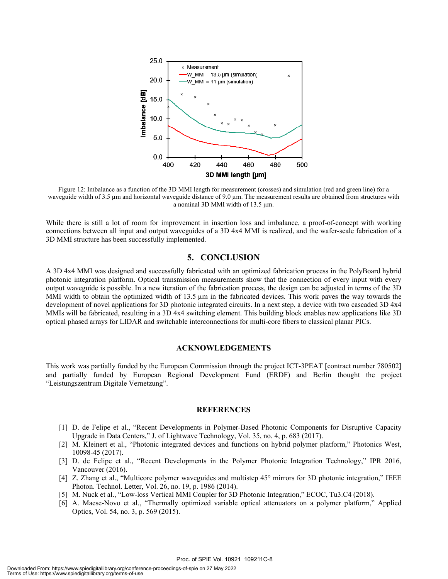

Figure 12: Imbalance as a function of the 3D MMI length for measurement (crosses) and simulation (red and green line) for a waveguide width of 3.5 µm and horizontal waveguide distance of 9.0 µm. The measurement results are obtained from structures with a nominal 3D MMI width of 13.5 µm.

While there is still a lot of room for improvement in insertion loss and imbalance, a proof-of-concept with working connections between all input and output waveguides of a 3D 4x4 MMI is realized, and the wafer-scale fabrication of a 3D MMI structure has been successfully implemented.

#### **5. CONCLUSION**

A 3D 4x4 MMI was designed and successfully fabricated with an optimized fabrication process in the PolyBoard hybrid photonic integration platform. Optical transmission measurements show that the connection of every input with every output waveguide is possible. In a new iteration of the fabrication process, the design can be adjusted in terms of the 3D MMI width to obtain the optimized width of  $13.5 \mu m$  in the fabricated devices. This work paves the way towards the development of novel applications for 3D photonic integrated circuits. In a next step, a device with two cascaded 3D 4x4 MMIs will be fabricated, resulting in a 3D 4x4 switching element. This building block enables new applications like 3D optical phased arrays for LIDAR and switchable interconnections for multi-core fibers to classical planar PICs.

#### **ACKNOWLEDGEMENTS**

This work was partially funded by the European Commission through the project ICT-3PEAT [contract number 780502] and partially funded by European Regional Development Fund (ERDF) and Berlin thought the project "Leistungszentrum Digitale Vernetzung".

#### **REFERENCES**

- [1] D. de Felipe et al., "Recent Developments in Polymer-Based Photonic Components for Disruptive Capacity Upgrade in Data Centers," J. of Lightwave Technology, Vol. 35, no. 4, p. 683 (2017).
- [2] M. Kleinert et al., "Photonic integrated devices and functions on hybrid polymer platform," Photonics West, 10098-45 (2017).
- [3] D. de Felipe et al., "Recent Developments in the Polymer Photonic Integration Technology," IPR 2016, Vancouver (2016).
- [4] Z. Zhang et al., "Multicore polymer waveguides and multistep 45° mirrors for 3D photonic integration," IEEE Photon. Technol. Letter, Vol. 26, no. 19, p. 1986 (2014).
- [5] M. Nuck et al., "Low-loss Vertical MMI Coupler for 3D Photonic Integration," ECOC, Tu3.C4 (2018).
- [6] A. Maese-Novo et al., "Thermally optimized variable optical attenuators on a polymer platform," Applied Optics, Vol. 54, no. 3, p. 569 (2015).